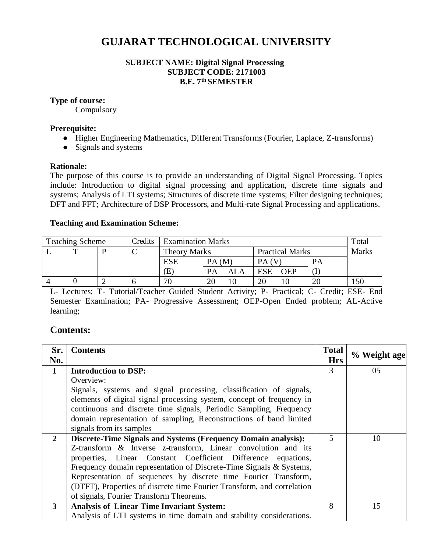# **GUJARAT TECHNOLOGICAL UNIVERSITY**

## **SUBJECT NAME: Digital Signal Processing SUBJECT CODE: 2171003 B.E. 7th SEMESTER**

## **Type of course:**

**Compulsory** 

#### **Prerequisite:**

- Higher Engineering Mathematics, Different Transforms (Fourier, Laplace, Z-transforms)
- Signals and systems

#### **Rationale:**

The purpose of this course is to provide an understanding of Digital Signal Processing. Topics include: Introduction to digital signal processing and application, discrete time signals and systems; Analysis of LTI systems; Structures of discrete time systems; Filter designing techniques; DFT and FFT; Architecture of DSP Processors, and Multi-rate Signal Processing and applications.

#### **Teaching and Examination Scheme:**

| <b>Teaching Scheme</b> |   | Credits | <b>Examination Marks</b> |                     |       |                        |            | Total      |              |     |
|------------------------|---|---------|--------------------------|---------------------|-------|------------------------|------------|------------|--------------|-----|
|                        | m |         | ◡                        | <b>Theory Marks</b> |       | <b>Practical Marks</b> |            |            | <b>Marks</b> |     |
|                        |   |         |                          | <b>ESE</b>          | PA(M) |                        |            |            | <b>PA</b>    |     |
|                        |   |         |                          | Έ                   | PA    | ALA                    | <b>ESE</b> | <b>OEP</b> |              |     |
|                        |   |         |                          | 70                  | 20    | 10                     | 20         | 10         | 20           | 150 |

L- Lectures; T- Tutorial/Teacher Guided Student Activity; P- Practical; C- Credit; ESE- End Semester Examination; PA- Progressive Assessment; OEP-Open Ended problem; AL-Active learning;

# **Contents:**

| Sr.                     | <b>Contents</b>                                                        | <b>Total</b>            | % Weight age |
|-------------------------|------------------------------------------------------------------------|-------------------------|--------------|
| No.                     |                                                                        | <b>Hrs</b>              |              |
| 1                       | <b>Introduction to DSP:</b>                                            | 3                       | 05           |
|                         | Overview:                                                              |                         |              |
|                         | Signals, systems and signal processing, classification of signals,     |                         |              |
|                         | elements of digital signal processing system, concept of frequency in  |                         |              |
|                         | continuous and discrete time signals, Periodic Sampling, Frequency     |                         |              |
|                         | domain representation of sampling, Reconstructions of band limited     |                         |              |
|                         | signals from its samples                                               |                         |              |
| $\overline{2}$          | <b>Discrete-Time Signals and Systems (Frequency Domain analysis):</b>  | 5                       | 10           |
|                         | Z-transform & Inverse z-transform, Linear convolution and its          |                         |              |
|                         | properties, Linear Constant Coefficient Difference equations,          |                         |              |
|                         | Frequency domain representation of Discrete-Time Signals & Systems,    |                         |              |
|                         | Representation of sequences by discrete time Fourier Transform,        |                         |              |
|                         | (DTFT), Properties of discrete time Fourier Transform, and correlation |                         |              |
|                         | of signals, Fourier Transform Theorems.                                |                         |              |
| $\overline{\mathbf{3}}$ | <b>Analysis of Linear Time Invariant System:</b>                       | $\mathsf{\overline{R}}$ | 15           |
|                         | Analysis of LTI systems in time domain and stability considerations.   |                         |              |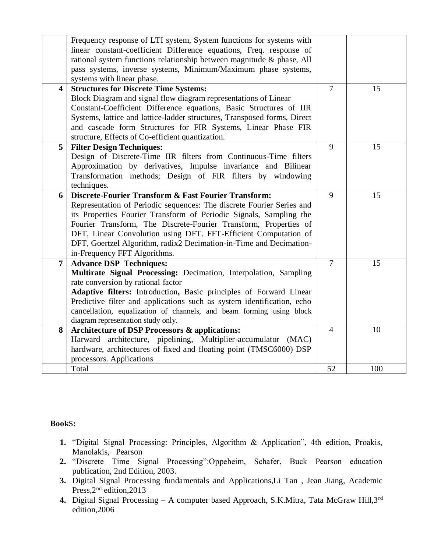|                         | Frequency response of LTI system, System functions for systems with<br>linear constant-coefficient Difference equations, Freq. response of<br>rational system functions relationship between magnitude & phase, All<br>pass systems, inverse systems, Minimum/Maximum phase systems,<br>systems with linear phase.                                                                                                                               |                |     |
|-------------------------|--------------------------------------------------------------------------------------------------------------------------------------------------------------------------------------------------------------------------------------------------------------------------------------------------------------------------------------------------------------------------------------------------------------------------------------------------|----------------|-----|
| $\overline{\mathbf{4}}$ | <b>Structures for Discrete Time Systems:</b><br>Block Diagram and signal flow diagram representations of Linear<br>Constant-Coefficient Difference equations, Basic Structures of IIR<br>Systems, lattice and lattice-ladder structures, Transposed forms, Direct<br>and cascade form Structures for FIR Systems, Linear Phase FIR<br>structure, Effects of Co-efficient quantization.                                                           | $\overline{7}$ | 15  |
| 5                       | <b>Filter Design Techniques:</b><br>Design of Discrete-Time IIR filters from Continuous-Time filters<br>Approximation by derivatives, Impulse invariance and Bilinear<br>Transformation methods; Design of FIR filters by windowing<br>techniques.                                                                                                                                                                                               | 9              | 15  |
| 6                       | Discrete-Fourier Transform & Fast Fourier Transform:<br>Representation of Periodic sequences: The discrete Fourier Series and<br>its Properties Fourier Transform of Periodic Signals, Sampling the<br>Fourier Transform, The Discrete-Fourier Transform, Properties of<br>DFT, Linear Convolution using DFT. FFT-Efficient Computation of<br>DFT, Goertzel Algorithm, radix2 Decimation-in-Time and Decimation-<br>in-Frequency FFT Algorithms. | 9              | 15  |
| $\overline{7}$          | <b>Advance DSP Techniques:</b><br>Multirate Signal Processing: Decimation, Interpolation, Sampling<br>rate conversion by rational factor<br>Adaptive filters: Introduction, Basic principles of Forward Linear<br>Predictive filter and applications such as system identification, echo<br>cancellation, equalization of channels, and beam forming using block<br>diagram representation study only.                                           | $\overline{7}$ | 15  |
| 8                       | Architecture of DSP Processors & applications:<br>Harward architecture, pipelining, Multiplier-accumulator (MAC)<br>hardware, architectures of fixed and floating point (TMSC6000) DSP<br>processors. Applications                                                                                                                                                                                                                               | $\overline{4}$ | 10  |
|                         | Total                                                                                                                                                                                                                                                                                                                                                                                                                                            | 52             | 100 |

# **Book**s**:**

- **1.** "Digital Signal Processing: Principles, Algorithm & Application", 4th edition, Proakis, Manolakis, Pearson
- **2.** "Discrete Time Signal Processing":Oppeheim, Schafer, Buck Pearson education publication, 2nd Edition, 2003.
- **3.** Digital Signal Processing fundamentals and Applications,Li Tan , Jean Jiang, Academic Press, 2<sup>nd</sup> edition, 2013
- **4.** Digital Signal Processing A computer based Approach, S.K.Mitra, Tata McGraw Hill,3rd edition,2006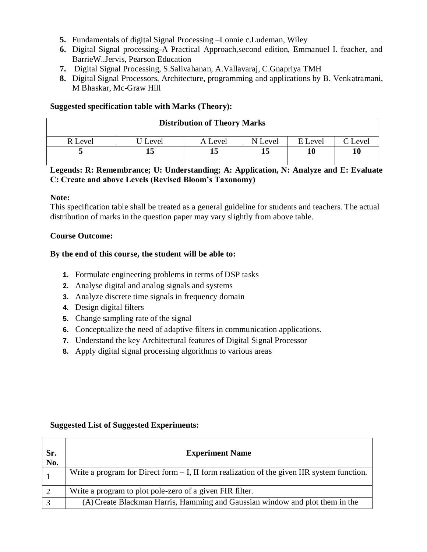- **5.** Fundamentals of digital Signal Processing –Lonnie c.Ludeman, Wiley
- **6.** Digital Signal processing-A Practical Approach,second edition, Emmanuel I. feacher, and BarrieW..Jervis, Pearson Education
- **7.** Digital Signal Processing, S.Salivahanan, A.Vallavaraj, C.Gnapriya TMH
- **8.** Digital Signal Processors, Architecture, programming and applications by B. Venkatramani, M Bhaskar, Mc-Graw Hill

## **Suggested specification table with Marks (Theory):**

|         |         | <b>Distribution of Theory Marks</b> |         |         |         |
|---------|---------|-------------------------------------|---------|---------|---------|
| R Level | J Level | A Level                             | N Level | E Level | C Level |
|         |         |                                     |         | 10      | 10      |

# **Legends: R: Remembrance; U: Understanding; A: Application, N: Analyze and E: Evaluate C: Create and above Levels (Revised Bloom's Taxonomy)**

## **Note:**

This specification table shall be treated as a general guideline for students and teachers. The actual distribution of marks in the question paper may vary slightly from above table.

## **Course Outcome:**

## **By the end of this course, the student will be able to:**

- **1.** Formulate engineering problems in terms of DSP tasks
- **2.** Analyse digital and analog signals and systems
- **3.** Analyze discrete time signals in frequency domain
- **4.** Design digital filters
- **5.** Change sampling rate of the signal
- **6.** Conceptualize the need of adaptive filters in communication applications.
- **7.** Understand the key Architectural features of Digital Signal Processor
- **8.** Apply digital signal processing algorithms to various areas

## **Suggested List of Suggested Experiments:**

| Sr.<br>No. | <b>Experiment Name</b>                                                                        |
|------------|-----------------------------------------------------------------------------------------------|
|            | Write a program for Direct form $- I$ , II form realization of the given IIR system function. |
|            | Write a program to plot pole-zero of a given FIR filter.                                      |
|            | (A) Create Blackman Harris, Hamming and Gaussian window and plot them in the                  |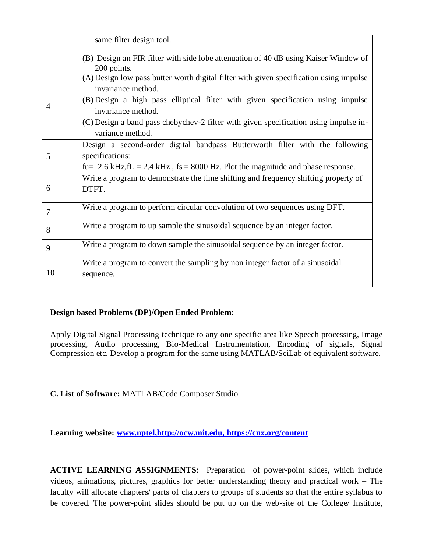|                | same filter design tool.                                                                                 |
|----------------|----------------------------------------------------------------------------------------------------------|
|                | (B) Design an FIR filter with side lobe attenuation of 40 dB using Kaiser Window of<br>200 points.       |
|                | (A) Design low pass butter worth digital filter with given specification using impulse                   |
|                | invariance method.<br>(B) Design a high pass elliptical filter with given specification using impulse    |
| 4              | invariance method.                                                                                       |
|                | (C) Design a band pass chebychev-2 filter with given specification using impulse in-<br>variance method. |
|                | Design a second-order digital bandpass Butterworth filter with the following                             |
| 5              | specifications:                                                                                          |
|                | fu= 2.6 kHz, fL = 2.4 kHz, fs = 8000 Hz. Plot the magnitude and phase response.                          |
|                | Write a program to demonstrate the time shifting and frequency shifting property of                      |
| 6              | DTFT.                                                                                                    |
| $\overline{7}$ | Write a program to perform circular convolution of two sequences using DFT.                              |
| 8              | Write a program to up sample the sinusoidal sequence by an integer factor.                               |
| 9              | Write a program to down sample the sinusoidal sequence by an integer factor.                             |
|                | Write a program to convert the sampling by non integer factor of a sinusoidal                            |
| 10             | sequence.                                                                                                |
|                |                                                                                                          |

# **Design based Problems (DP)/Open Ended Problem:**

Apply Digital Signal Processing technique to any one specific area like Speech processing, Image processing, Audio processing, Bio-Medical Instrumentation, Encoding of signals, Signal Compression etc. Develop a program for the same using MATLAB/SciLab of equivalent software.

**C. List of Software:** MATLAB/Code Composer Studio

**Learning website: [www.nptel,](http://www.nptel/)[http://ocw.mit.edu,](http://ocw.mit.edu/)<https://cnx.org/content>**

**ACTIVE LEARNING ASSIGNMENTS**: Preparation of power-point slides, which include videos, animations, pictures, graphics for better understanding theory and practical work – The faculty will allocate chapters/ parts of chapters to groups of students so that the entire syllabus to be covered. The power-point slides should be put up on the web-site of the College/ Institute,